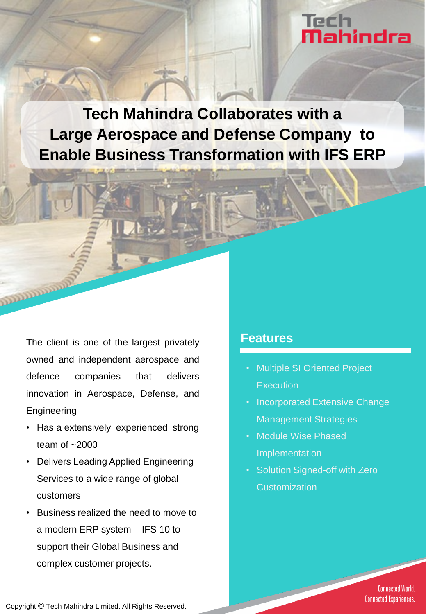# Tech lech<br><mark>Nahindra</mark>

**Tech Mahindra Collaborates with a Large Aerospace and Defense Company to Enable Business Transformation with IFS ERP**

The client is one of the largest privately **Features** owned and independent aerospace and defence companies that delivers innovation in Aerospace, Defense, and Engineering

- Has a extensively experienced strong team of  $~2000$
- Delivers Leading Applied Engineering Services to a wide range of global customers
- Business realized the need to move to a modern ERP system – IFS 10 to support their Global Business and complex customer projects.

- Multiple SI Oriented Project **Execution**
- Incorporated Extensive Change Management Strategies
- Module Wise Phased Implementation
- Solution Signed-off with Zero **Customization**

**Connected World. Connected Experiences.** 

Copyright © Tech Mahindra Limited. All Rights Reserved.